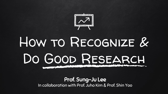

# How to Recognize & Do Good Research

#### Prof. Sung-Ju Lee In collaboration with Prof. Juho Kim & Prof. Shin Yoo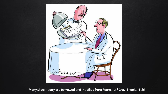

Many slides today are borrowed and modified from Feamster&Gray. Thanks Nick!  $\overline{\phantom{a}^2}$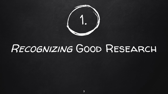

# Recognizing Good Research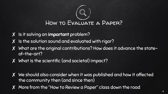

- X Is it solving an important problem?
- ✘ Is the solution sound and evaluated with rigor?
- ✘ What are the original contributions? How does it advance the stateof-the-art?
- ✘ What is the scientific (and societal) impact?
- ✘ We should also consider when it was published and how it affected the community then (and since then)
- ✘ More from the "How to Review a Paper" class down the road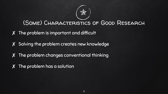

#### (Some) Characteristics of Good Research

- ✘ The problem is important and difficult
- ✘ Solving the problem creates new knowledge
- ✘ The problem changes conventional thinking
- ✘ The problem has a solution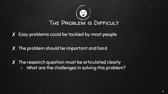

- ✘ Easy problems could be tackled by most people
- ✘ The problem should be important and hard
- ✘ The research question must be articulated clearly ○ What are the challenges in solving this problem?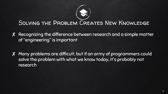#### Solving the Problem Creates New Knowledge

- ✘ Recognizing the difference between research and a simple matter of "engineering" is important
- ✘ Many problems are difficult, but if an army of programmers could solve the problem with what we know today, it's probably not research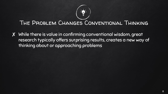

#### The Problem Changes Conventional Thinking

✘ While there is value in confirming conventional wisdom, great research typically offers surprising results, creates a new way of thinking about or approaching problems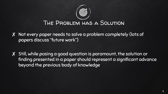# The Problem has a Solution

✘ Not every paper needs to solve a problem completely (lots of papers discuss "future work")

✘ Still, while posing a good question is paramount, the solution or finding presented in a paper should represent a significant advance beyond the previous body of knowledge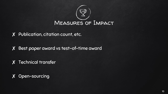

✘ Publication, citation count, etc.

✘ Best paper award vs test-of-time award

✘ Technical transfer

✘ Open-sourcing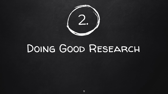

# Doing Good Research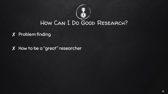

✘ Problem finding

✘ How to be a "great" researcher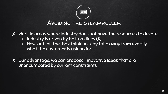

✘ Work in areas where industry does not have the resources to devote

- Industry is driven by bottom lines (\$)
- New, out-of-the-box thinking may take away from exactly what the customer is asking for

✘ Our advantage: we can propose innovative ideas that are unencumbered by current constraints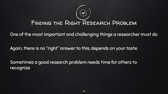#### FINDING THE RIGHT RESEARCH PROBLEM

One of the most important and challenging things a researcher must do

Again, there is no "right" answer to this; depends on your taste

Sometimes a good research problem needs time for others to recognize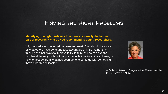#### Finding the Right Problems

**Identifying the right problems to address is usually the hardest part of research. What do you recommend to young researchers?**

"My main advice is to *avoid incremental work***.** You should be aware of what others have done and take advantage of it. But rather than thinking of small ways to improve it, try to think of how to solve the problem differently, or how to apply the technique to a different area, or how to abstract from what has been done to come up with something that's broadly applicable."



-- Barbara Liskov on Programming, Career, and the Future, *IEEE DS Online*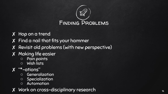

- ✘ Hop on a trend
- ✘ Find a nail that fits your hammer
- ✘ Revisit old problems (with new perspective)
- ✘ Making life easier Pain points Wish lists
	-
	-
- - ✘ "\*-ations" Generalization Specialization Automation
		-
		-
- ✘ Work on cross-disciplinary research <sup>16</sup>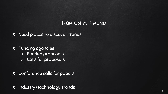#### Hop on a Trend

✘ Need places to discover trends

✘ Funding agencies ○ Funded proposals ○ Calls for proposals

✘ Conference calls for papers

✘ Industry/technology trends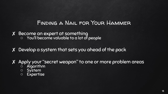#### Finding a Nail for Your Hammer

✘ Become an expert at something ○ You'll become valuable to a lot of people

✘ Develop a system that sets you ahead of the pack

✘ Apply your "secret weapon" to one or more problem areas ○ Algorithm

- System
- Expertise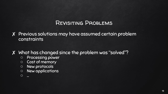#### Revisiting Problems

- ✘ Previous solutions may have assumed certain problem constraints
- ✘ What has changed since the problem was "solved"?
	- Processing power
	- Cost of memory
	- New protocols
	- New applications
	- …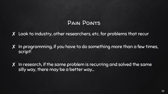#### Pain Points

- ✘ Look to industry, other researchers, etc. for problems that recur
- ✘ In programming, if you have to do something more than a few times, script!

✘ In research, if the same problem is recurring and solved the same silly way, there may be a better way…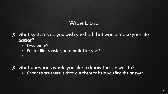#### Wish Lists

- ✘ What systems do you wish you had that would make your life easier?
	- Less spam?
	- Faster file transfer, automatic file sync?
	- $\circ$

✘ What questions would you like to know the answer to?

○ Chances are there is data out there to help you find the answer…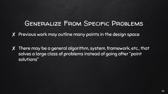#### Generalize From Specific Problems

✘ Previous work may outline many points in the design space

✘ There may be a general algorithm, system, framework, etc., that solves a large class of problems instead of going after "point solutions"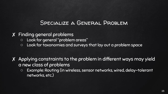#### Specialize a General Problem

✘ Finding general problems

- Look for general "problem areas"
- Look for taxonomies and surveys that lay out a problem space
- ✘ Applying constraints to the problem in different ways may yield a new class of problems
	- Example: Routing (in wireless, sensor networks, wired, delay-tolerant networks, etc.)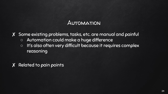#### Automation

✘ Some existing problems, tasks, etc. are manual and painful ○ Automation could make a huge difference ○ It's also often very difficult because it requires complex reasoning

✘ Related to pain points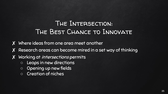### The Intersection: The Best Chance to Innovate

- ✘ Where ideas from one area meet another
- ✘ Research areas can become mired in a set way of thinking
- ✘ Working at intersections permits
	- Leaps in new directions
	- Opening up new fields
	- Creation of niches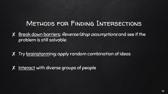#### Methods for Finding Intersections

- ✘ Break down barriers: Reverse/drop assumptions and see if the problem is still solvable
- ✘ Try brainstorming: apply random combination of ideas
- ✘ Interact with diverse groups of people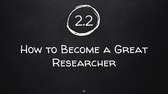

# How to Become a Great Researcher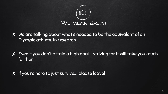

- ✘ We are talking about what's needed to be the equivalent of an Olympic athlete, in research
- ✘ Even if you don't attain a high goal striving for it will take you much farther
- X If you're here to just survive... please leave!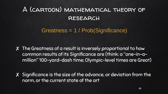### A (cartoon) mathematical theory of **RESEARCH**

Greatness = 1 / Prob(Significance)

✘ The Greatness of a result is inversely proportional to how common results of its Significance are (think: a "one-in-amillion" 100-yard-dash time; Olympic-level times are Great)

✘ Significance is the size of the advance, or deviation from the norm, or the current state of the art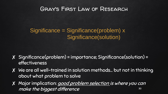#### Gray's First Law of Research

#### Significance = Significance(problem) x Significance(solution)

- ✘ Significance(problem) = importance; Significance(solution) = effectiveness
- ✘ We are all well-trained in solution methods… but not in thinking about what problem to solve
- ✘ Major implication: good problem selection is where you can make the biggest difference 30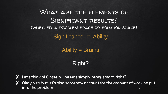What are the elements of SIGNIFICANT RESULTS? (whether in problem space or solution space) Significance α Ability

Ability = Brains

Right?

- **X** Let's think of Einstein he was simply *really* smart, right?
- ✘ Okay, yes, but let's also somehow account for the amount of work he put into the problem 31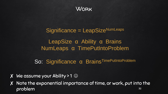

Significance = LeapSizeNumLeaps LeapSize α Ability α Brains NumLeaps α TimePutIntoProblem

So: Significance α Brains<sup>TimePutIntoProblem</sup>

- $\overline{X}$  We assume your Ability > 1  $\odot$
- ✘ Note the exponential importance of time, or work, put into the problem and the set of the set of the set of the set of the set of the set of the set of the set of the set of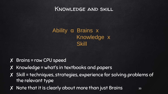#### Knowledge and skill

#### Ability α Brains x Knowledge x **Skill**

- ✘ Brains = raw CPU speed
- ✘ Knowledge = what's in textbooks and papers
- ✘ Skill = techniques, strategies, experience for solving problems of the relevant type
- ✘ Note that it is clearly about more than just Brains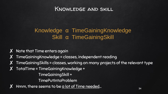#### Knowledge and skill

#### Knowledge α TimeGainingKnowledge Skill α TimeGainingSkill

- $\boldsymbol{X}$  Note that Time enters again
- ✘ TimeGainingKnowledge = classes, independent reading
- ✘ TimeGainingSkills = classes, working on many projects of the relevant type
- $X$  TotalTime = TimeGainingKnowledge + TimeGainingSkill +
	- TimePutIntoProblem
- Hmm, there seems to be a lot of Time needed...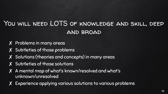### You will need LOTS of knowledge and skill, deep and broad

- ✘ Problems in many areas
- ✘ Subtleties of those problems
- ✘ Solutions (theories and concepts) in many areas
- ✘ Subtleties of those solutions
- ✘ A mental map of what's known/resolved and what's unknown/unresolved
- Experience applying various solutions to various problems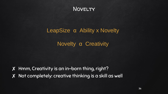

## LeapSize α Ability x Novelty

Novelty α Creativity

✘ Hmm, Creativity is an in-born thing, right? ✘ Not completely: creative thinking is a skill as well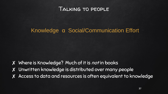

#### Knowledge α Social/Communication Effort

✘ Where is Knowledge? Much of it is not in books ✘ Unwritten knowledge is distributed over many people ✘ Access to data and resources is often equivalent to knowledge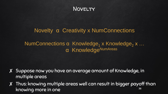

#### Novelty α Creativity x NumConnections

#### NumConnections α Knowledge<sub>1</sub> x Knowledge<sub>2</sub> x ... α KnowledgeNumAreas

- ✘ Suppose now you have an average amount of Knowledge, in multiple areas
- ✘ Thus: knowing multiple areas well can result in bigger payoff than knowing more in one 38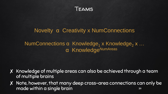

#### Novelty α Creativity x NumConnections

#### NumConnections α Knowledge<sub>1</sub> x Knowledge<sub>2</sub> x ... α KnowledgeNumAreas

- ✘ Knowledge of multiple areas can also be achieved through a team of multiple brains
- ✘ Note, however, that many deep cross-area connections can only be made within a single brain 39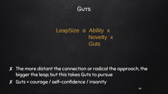

#### LeapSize α Ability x Novelty x **Guts**

- ✘ The more distant the connection or radical the approach, the bigger the leap; but this takes Guts to pursue
- ✘ Guts = courage / self-confidence / insanity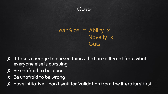

#### LeapSize α Ability x Novelty x **Guts**

- ✘ It takes courage to pursue things that are different from what everyone else is pursuing
- ✘ Be unafraid to be alone
- ✘ Be unafraid to be wrong
- ✘ Have initiative don't wait for 'validation from the literature' first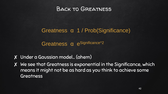

#### Greatness α 1 / Prob(Significance)

Greatness α e<sup>Significance^2</sup>

- ✘ Under a Gaussian model… (ahem)
- ✘ We see that Greatness is exponential in the Significance, which means it might not be as hard as you think to achieve some **Greatness**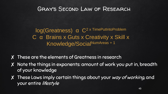#### Gray's Second Law of Research

log(Greatness) α C2 x TimePutIntoProblem C α Brains x Guts x Creativity x Skill x Knowledge/SocialNumAreas + 1

- ✘ These are the elements of Greatness in research
- ✘ Note the things in exponents: amount of work you put in, breadth of your knowledge
- X These Laws imply certain things about your way of working, and your entire lifestyle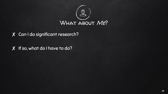

✘ Can I do significant research?

✘ If so, what do I have to do?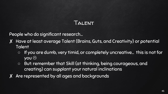#### Talent

- ✘ Have at least average Talent (Brains, Guts, and Creativity) or potential **Talent** 
	- If you are dumb, very timid, or completely uncreative… this is not for **you ⊙**
	- But: remember that Skill (at thinking, being courageous, and creating) can supplant your natural inclinations
- ✘ Are represented by all ages and backgrounds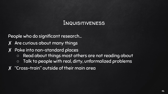#### Inquisitiveness

- ✘ Are curious about many things
- ✘ Poke into non-standard places
	- Read about things most others are not reading about
	- Talk to people with real, dirty, unformalized problems
- ✘ "Cross-train" outside of their main area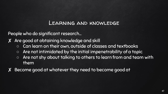#### Learning and knowledge

People who do significant research…

✘ Are good at obtaining knowledge and skill

- Can learn on their own, outside of classes and textbooks
- Are not intimidated by the initial impenetrability of a topic
- Are not shy about talking to others to learn from and team with them
- ✘ Become good at whatever they need to become good at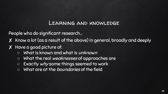#### Learning and knowledge

People who do significant research…

✘ Know a lot (as a result of the above) in general, broadly and deeply

- ✘ Have a good picture of:
	- What is known and what is *unknown*
	- o What the real weaknesses of approaches are
	- Exactly why some things seemed to work
	- What are at the boundaries of the field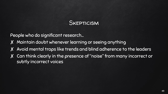

- ✘ Maintain doubt whenever learning or seeing anything
- ✘ Avoid mental traps like trends and blind adherence to the leaders
- ✘ Can think clearly in the presence of "noise" from many incorrect or subtly incorrect voices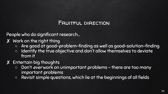#### Fruitful direction

- ✘ Work on the right thing
	- Are good at good-problem-finding as well as good-solution-finding
	- $\circ$  Identify the true objective and don't allow themselves to deviate from it
- ✘ Entertain big thoughts
	- Don't ever work on unimportant problems there are too many important problems
	- Revisit simple questions, which lie at the beginnings of all fields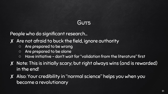#### Guts

- ✘ Are not afraid to buck the field, ignore authority
	- Are prepared to be wrong
	- Are prepared to be alone
	- Have initiative don't wait for "validation from the literature" first
- ✘ Note: This is initially scary; but right always wins (and is rewarded) in the end!
- ✘ Also: Your credibility in "normal science" helps you when you become a revolutionary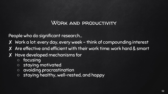#### Work and productivity

- ✘ Work a lot: every day, every week think of compounding interest
- ✘ Are effective and efficient with their work time: work hard & smart
- ✘ Have developed mechanisms for
	- focusing
	- staying motivated
	- avoiding procrastination
	- staying healthy, well-rested, and happy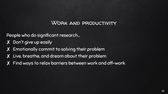#### Work and productivity

- ✘ Don't give up easily
- ✘ Emotionally commit to solving their problem
- ✘ Live, breathe, and dream about their problem
- ✘ Find ways to relax barriers between work and off-work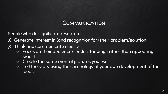#### Communication

- ✘ Generate interest in (and recognition for) their problem/solution
- ✘ Think and communicate clearly
	- Focus on their audience's understanding, rather than appearing smart
	- Create the same mental pictures you use
	- Tell the story using the chronology of your own development of the ideas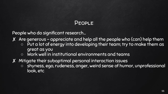#### People

- ✘ Are generous appreciate and help all the people who (can) help them
	- $\circ$  Put a lot of energy into developing their team; try to make them as great as you
	- Work well in institutional environments and teams
- ✘ Mitigate their suboptimal personal interaction issues
	- shyness, ego, rudeness, anger, weird sense of humor, unprofessional look, etc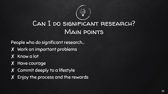

### Can I do significant research? Main points

- ✘ Work on important problems
- ✘ Know a lot
- ✘ Have courage
- ✘ Commit deeply to a lifestyle
- X Enjoy the process and the rewards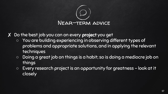

✘ Do the best job you can on every project you get

- You are building experiencing in observing different types of problems and appropriate solutions, and in applying the relevant techniques
- Doing a great job on things is a habit; so is doing a mediocre job on things
- Every research project is an opportunity for greatness look at it closely